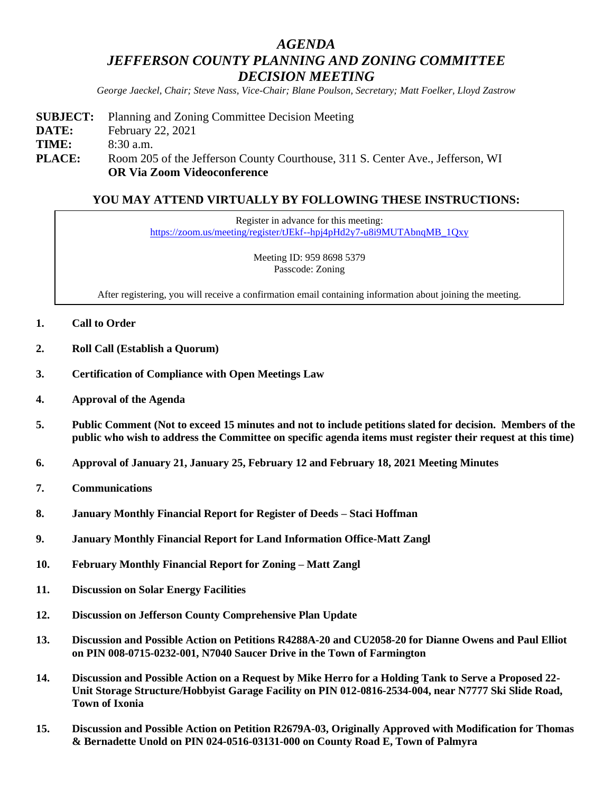## *AGENDA JEFFERSON COUNTY PLANNING AND ZONING COMMITTEE DECISION MEETING*

*George Jaeckel, Chair; Steve Nass, Vice-Chair; Blane Poulson, Secretary; Matt Foelker, Lloyd Zastrow*

**SUBJECT:** Planning and Zoning Committee Decision Meeting **DATE:** February 22, 2021 **TIME:** 8:30 a.m. **PLACE:** Room 205 of the Jefferson County Courthouse, 311 S. Center Ave., Jefferson, WI **OR Via Zoom Videoconference**

## **YOU MAY ATTEND VIRTUALLY BY FOLLOWING THESE INSTRUCTIONS:**

Register in advance for this meeting: [https://zoom.us/meeting/register/tJEkf--hpj4pHd2y7-u8i9MUTAbnqMB\\_1Qxy](https://zoom.us/meeting/register/tJEkf--hpj4pHd2y7-u8i9MUTAbnqMB_1Qxy)

> Meeting ID: 959 8698 5379 Passcode: Zoning

After registering, you will receive a confirmation email containing information about joining the meeting.

- **1. Call to Order**
- **2. Roll Call (Establish a Quorum)**
- **3. Certification of Compliance with Open Meetings Law**
- **4. Approval of the Agenda**
- **5. Public Comment (Not to exceed 15 minutes and not to include petitions slated for decision. Members of the public who wish to address the Committee on specific agenda items must register their request at this time)**
- **6. Approval of January 21, January 25, February 12 and February 18, 2021 Meeting Minutes**
- **7. Communications**
- **8. January Monthly Financial Report for Register of Deeds – Staci Hoffman**
- **9. January Monthly Financial Report for Land Information Office-Matt Zangl**
- **10. February Monthly Financial Report for Zoning – Matt Zangl**
- **11. Discussion on Solar Energy Facilities**
- **12. Discussion on Jefferson County Comprehensive Plan Update**
- **13. Discussion and Possible Action on Petitions R4288A-20 and CU2058-20 for Dianne Owens and Paul Elliot on PIN 008-0715-0232-001, N7040 Saucer Drive in the Town of Farmington**
- **14. Discussion and Possible Action on a Request by Mike Herro for a Holding Tank to Serve a Proposed 22- Unit Storage Structure/Hobbyist Garage Facility on PIN 012-0816-2534-004, near N7777 Ski Slide Road, Town of Ixonia**
- **15. Discussion and Possible Action on Petition R2679A-03, Originally Approved with Modification for Thomas & Bernadette Unold on PIN 024-0516-03131-000 on County Road E, Town of Palmyra**